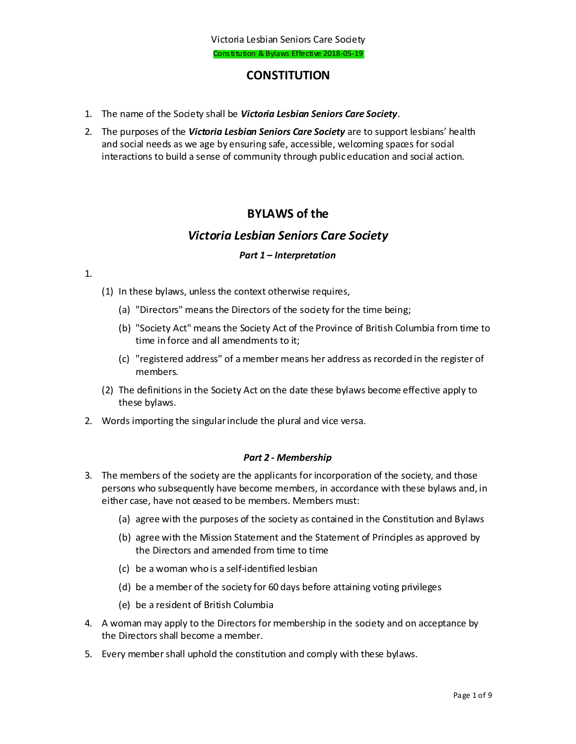## **CONSTITUTION**

- 1. The name of the Society shall be *Victoria Lesbian Seniors Care Society*.
- 2. The purposes of the *Victoria Lesbian Seniors Care Society* are to support lesbians' health and social needs as we age by ensuring safe, accessible, welcoming spaces for social interactions to build a sense of community through public education and social action.

# **BYLAWS of the**

## *Victoria Lesbian Seniors Care Society*

### *Part 1 – Interpretation*

#### 1.

- (1) In these bylaws, unless the context otherwise requires,
	- (a) "Directors" means the Directors of the society for the time being;
	- (b) "Society Act" means the Society Act of the Province of British Columbia from time to time in force and all amendments to it;
	- (c) "registered address" of a member means her address as recorded in the register of members.
- (2) The definitions in the Society Act on the date these bylaws become effective apply to these bylaws.
- 2. Words importing the singular include the plural and vice versa.

#### *Part 2 - Membership*

- 3. The members of the society are the applicants for incorporation of the society, and those persons who subsequently have become members, in accordance with these bylaws and, in either case, have not ceased to be members. Members must:
	- (a) agree with the purposes of the society as contained in the Constitution and Bylaws
	- (b) agree with the Mission Statement and the Statement of Principles as approved by the Directors and amended from time to time
	- (c) be a woman who is a self-identified lesbian
	- (d) be a member of the society for 60 days before attaining voting privileges
	- (e) be a resident of British Columbia
- 4. A woman may apply to the Directors for membership in the society and on acceptance by the Directors shall become a member.
- 5. Every member shall uphold the constitution and comply with these bylaws.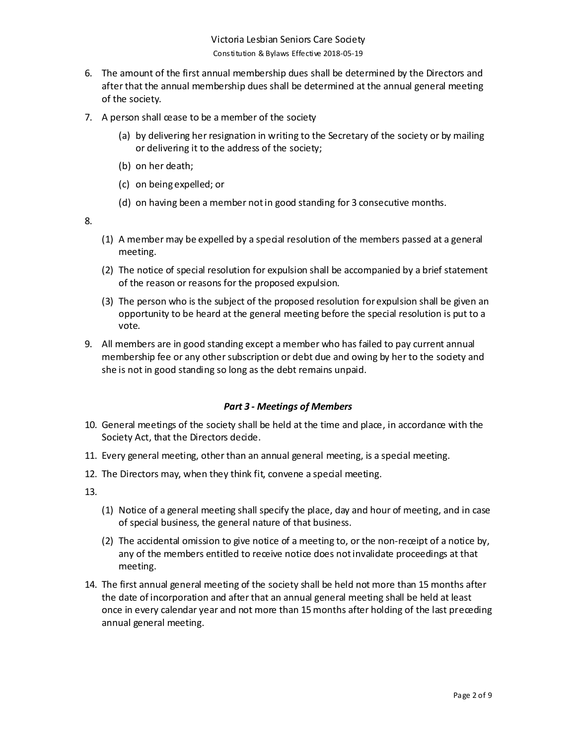- 6. The amount of the first annual membership dues shall be determined by the Directors and after that the annual membership dues shall be determined at the annual general meeting of the society.
- 7. A person shall cease to be a member of the society
	- (a) by delivering her resignation in writing to the Secretary of the society or by mailing or delivering it to the address of the society;
	- (b) on her death;
	- (c) on being expelled; or
	- (d) on having been a member not in good standing for 3 consecutive months.

- (1) A member may be expelled by a special resolution of the members passed at a general meeting.
- (2) The notice of special resolution for expulsion shall be accompanied by a brief statement of the reason or reasons for the proposed expulsion.
- (3) The person who is the subject of the proposed resolution for expulsion shall be given an opportunity to be heard at the general meeting before the special resolution is put to a vote.
- 9. All members are in good standing except a member who has failed to pay current annual membership fee or any other subscription or debt due and owing by her to the society and she is not in good standing so long as the debt remains unpaid.

#### *Part 3 - Meetings of Members*

- 10. General meetings of the society shall be held at the time and place, in accordance with the Society Act, that the Directors decide.
- 11. Every general meeting, other than an annual general meeting, is a special meeting.
- 12. The Directors may, when they think fit, convene a special meeting.

- (1) Notice of a general meeting shall specify the place, day and hour of meeting, and in case of special business, the general nature of that business.
- (2) The accidental omission to give notice of a meeting to, or the non-receipt of a notice by, any of the members entitled to receive notice does not invalidate proceedings at that meeting.
- 14. The first annual general meeting of the society shall be held not more than 15 months after the date of incorporation and after that an annual general meeting shall be held at least once in every calendar year and not more than 15 months after holding of the last preceding annual general meeting.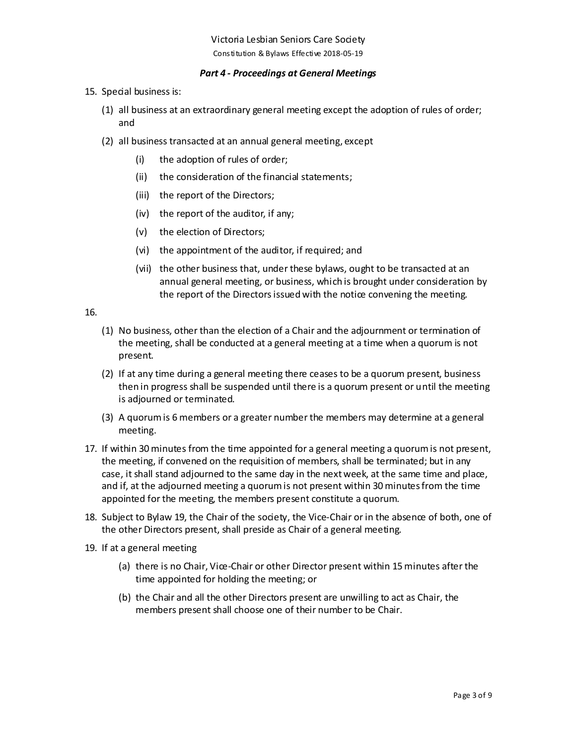#### *Part 4 - Proceedings at General Meetings*

- 15. Special business is:
	- (1) all business at an extraordinary general meeting except the adoption of rules of order; and
	- (2) all business transacted at an annual general meeting, except
		- (i) the adoption of rules of order;
		- (ii) the consideration of the financial statements;
		- (iii) the report of the Directors;
		- (iv) the report of the auditor, if any;
		- (v) the election of Directors;
		- (vi) the appointment of the auditor, if required; and
		- (vii) the other business that, under these bylaws, ought to be transacted at an annual general meeting, or business, which is brought under consideration by the report of the Directorsissued with the notice convening the meeting.

- (1) No business, other than the election of a Chair and the adjournment or termination of the meeting, shall be conducted at a general meeting at a time when a quorum is not present.
- (2) If at any time during a general meeting there ceases to be a quorum present, business then in progress shall be suspended until there is a quorum present or until the meeting is adjourned or terminated.
- (3) A quorum is 6 members or a greater number the members may determine at a general meeting.
- 17. If within 30 minutes from the time appointed for a general meeting a quorum is not present, the meeting, if convened on the requisition of members, shall be terminated; but in any case, it shall stand adjourned to the same day in the next week, at the same time and place, and if, at the adjourned meeting a quorum is not present within 30 minutes from the time appointed for the meeting, the members present constitute a quorum.
- 18. Subject to Bylaw 19, the Chair of the society, the Vice-Chair or in the absence of both, one of the other Directors present, shall preside as Chair of a general meeting.
- 19. If at a general meeting
	- (a) there is no Chair, Vice-Chair or other Director present within 15 minutes after the time appointed for holding the meeting; or
	- (b) the Chair and all the other Directors present are unwilling to act as Chair, the members present shall choose one of their number to be Chair.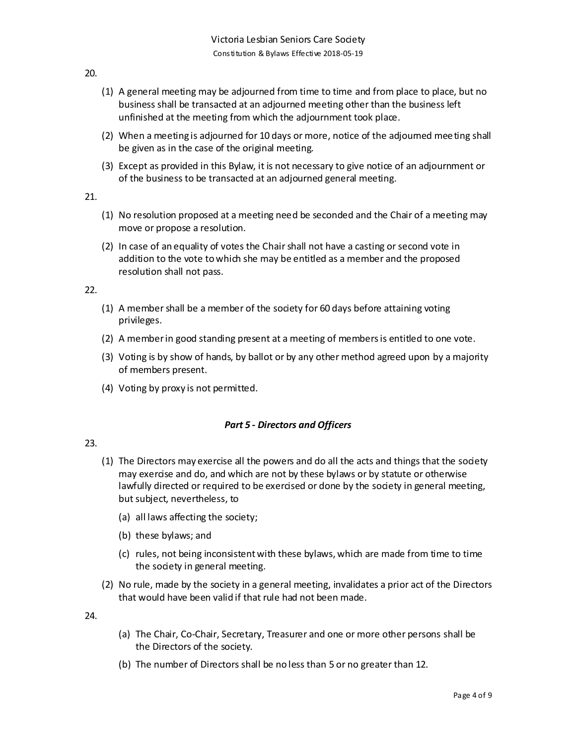- 20.
- (1) A general meeting may be adjourned from time to time and from place to place, but no business shall be transacted at an adjourned meeting other than the business left unfinished at the meeting from which the adjournment took place.
- (2) When a meeting is adjourned for 10 days or more, notice of the adjourned meeting shall be given as in the case of the original meeting.
- (3) Except as provided in this Bylaw, it is not necessary to give notice of an adjournment or of the business to be transacted at an adjourned general meeting.

- (1) No resolution proposed at a meeting need be seconded and the Chair of a meeting may move or propose a resolution.
- (2) In case of an equality of votes the Chair shall not have a casting or second vote in addition to the vote to which she may be entitled as a member and the proposed resolution shall not pass.

22.

- (1) A member shall be a member of the society for 60 days before attaining voting privileges.
- (2) A member in good standing present at a meeting of members is entitled to one vote.
- (3) Voting is by show of hands, by ballot or by any other method agreed upon by a majority of members present.
- (4) Voting by proxy is not permitted.

#### *Part 5 - Directors and Officers*

#### 23.

- (1) The Directors may exercise all the powers and do all the acts and things that the society may exercise and do, and which are not by these bylaws or by statute or otherwise lawfully directed or required to be exercised or done by the society in general meeting, but subject, nevertheless, to
	- (a) all laws affecting the society;
	- (b) these bylaws; and
	- (c) rules, not being inconsistent with these bylaws, which are made from time to time the society in general meeting.
- (2) No rule, made by the society in a general meeting, invalidates a prior act of the Directors that would have been valid if that rule had not been made.

- (a) The Chair, Co-Chair, Secretary, Treasurer and one or more other persons shall be the Directors of the society.
- (b) The number of Directors shall be no less than 5 or no greater than 12.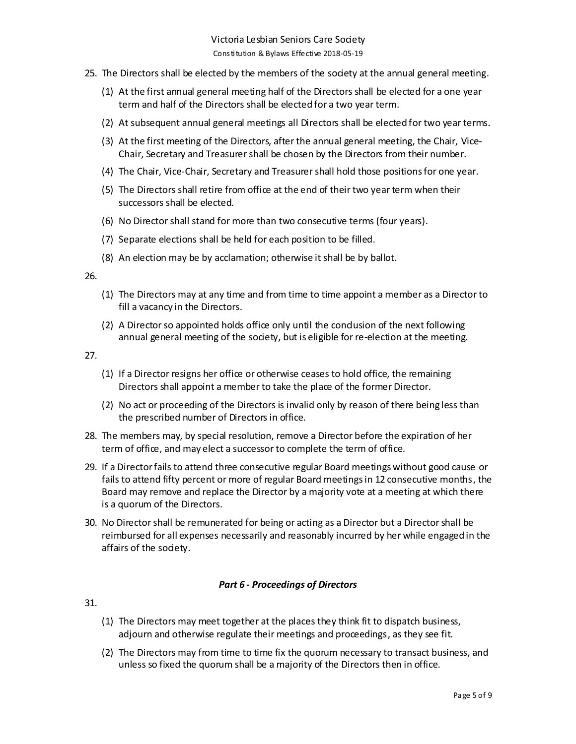- 25. The Directors shall be elected by the members of the society at the annual general meeting.
	- (1) At the first annual general meeting half of the Directors shall be elected for a one year term and half of the Directors shall be elected for a two year term.
	- (2) At subsequent annual general meetings all Directors shall be elected for two year terms.
	- (3) At the first meeting of the Directors, after the annual general meeting, the Chair, Vice-Chair, Secretary and Treasurer shall be chosen by the Directors from their number.
	- (4) The Chair, Vice-Chair, Secretary and Treasurer shall hold those positionsfor one year.
	- (5) The Directors shall retire from office at the end of their two year term when their successors shall be elected.
	- (6) No Director shall stand for more than two consecutive terms (four years).
	- (7) Separate elections shall be held for each position to be filled.
	- (8) An election may be by acclamation; otherwise it shall be by ballot.

- (1) The Directors may at any time and from time to time appoint a member as a Director to fill a vacancy in the Directors.
- (2) A Director so appointed holds office only until the condusion of the next following annual general meeting of the society, but is eligible for re-election at the meeting.

27.

- (1) If a Director resigns her office or otherwise ceases to hold office, the remaining Directors shall appoint a member to take the place of the former Director.
- (2) No act or proceeding of the Directors is invalid only by reason of there being less than the prescribed number of Directors in office.
- 28. The members may, by special resolution, remove a Director before the expiration of her term of office, and may elect a successor to complete the term of office.
- 29. If a Director fails to attend three consecutive regular Board meetings without good cause or fails to attend fifty percent or more of regular Board meetings in 12 consecutive months, the Board may remove and replace the Director by a majority vote at a meeting at which there is a quorum of the Directors.
- 30. No Director shall be remunerated for being or acting as a Director but a Director shall be reimbursed for all expenses necessarily and reasonably incurred by her while engaged in the affairs of the society.

#### *Part 6 - Proceedings of Directors*

- (1) The Directors may meet together at the places they think fit to dispatch business, adjourn and otherwise regulate their meetings and proceedings, as they see fit.
- (2) The Directors may from time to time fix the quorum necessary to transact business, and unless so fixed the quorum shall be a majority of the Directors then in office.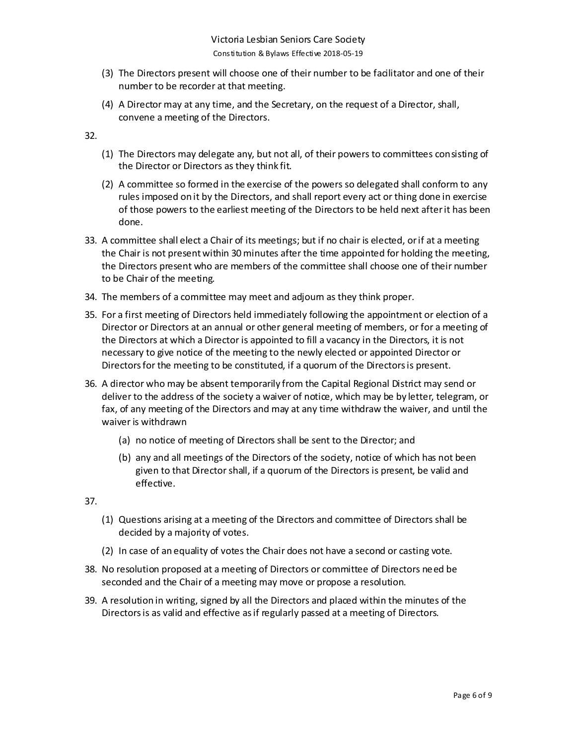- (3) The Directors present will choose one of their number to be facilitator and one of their number to be recorder at that meeting.
- (4) A Director may at any time, and the Secretary, on the request of a Director, shall, convene a meeting of the Directors.

- (1) The Directors may delegate any, but not all, of their powers to committees consisting of the Director or Directors as they think fit.
- (2) A committee so formed in the exercise of the powers so delegated shall conform to any rules imposed on it by the Directors, and shall report every act or thing done in exercise of those powers to the earliest meeting of the Directors to be held next after it has been done.
- 33. A committee shall elect a Chair of its meetings; but if no chair is elected, or if at a meeting the Chair is not present within 30 minutes after the time appointed for holding the meeting, the Directors present who are members of the committee shall choose one of their number to be Chair of the meeting.
- 34. The members of a committee may meet and adjourn as they think proper.
- 35. For a first meeting of Directors held immediately following the appointment or election of a Director or Directors at an annual or other general meeting of members, or for a meeting of the Directors at which a Director is appointed to fill a vacancy in the Directors, it is not necessary to give notice of the meeting to the newly elected or appointed Director or Directors for the meeting to be constituted, if a quorum of the Directors is present.
- 36. A director who may be absent temporarily from the Capital Regional District may send or deliver to the address of the society a waiver of notice, which may be by letter, telegram, or fax, of any meeting of the Directors and may at any time withdraw the waiver, and until the waiver is withdrawn
	- (a) no notice of meeting of Directors shall be sent to the Director; and
	- (b) any and all meetings of the Directors of the society, notice of which has not been given to that Director shall, if a quorum of the Directors is present, be valid and effective.

- (1) Questions arising at a meeting of the Directors and committee of Directors shall be decided by a majority of votes.
- (2) In case of an equality of votes the Chair does not have a second or casting vote.
- 38. No resolution proposed at a meeting of Directors or committee of Directors need be seconded and the Chair of a meeting may move or propose a resolution.
- 39. A resolution in writing, signed by all the Directors and placed within the minutes of the Directors is as valid and effective as if regularly passed at a meeting of Directors.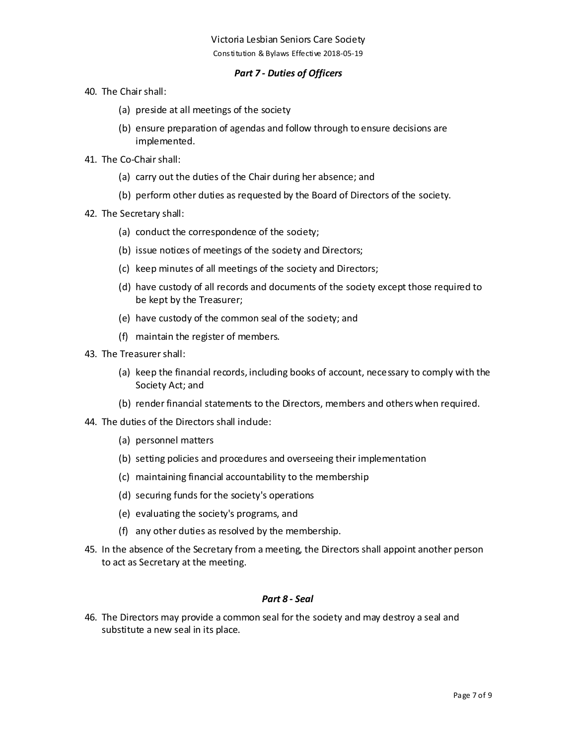### *Part 7 - Duties of Officers*

- 40. The Chair shall:
	- (a) preside at all meetings of the society
	- (b) ensure preparation of agendas and follow through to ensure decisions are implemented.
- 41. The Co-Chair shall:
	- (a) carry out the duties of the Chair during her absence; and
	- (b) perform other duties as requested by the Board of Directors of the society.
- 42. The Secretary shall:
	- (a) conduct the correspondence of the society;
	- (b) issue notices of meetings of the society and Directors;
	- (c) keep minutes of all meetings of the society and Directors;
	- (d) have custody of all records and documents of the society except those required to be kept by the Treasurer;
	- (e) have custody of the common seal of the society; and
	- (f) maintain the register of members.
- 43. The Treasurer shall:
	- (a) keep the financial records, including books of account, necessary to comply with the Society Act; and
	- (b) render financial statements to the Directors, members and others when required.
- 44. The duties of the Directors shall indude:
	- (a) personnel matters
	- (b) setting policies and procedures and overseeing their implementation
	- (c) maintaining financial accountability to the membership
	- (d) securing funds for the society's operations
	- (e) evaluating the society's programs, and
	- (f) any other duties as resolved by the membership.
- 45. In the absence of the Secretary from a meeting, the Directors shall appoint another person to act as Secretary at the meeting.

#### *Part 8 - Seal*

46. The Directors may provide a common seal for the society and may destroy a seal and substitute a new seal in its place.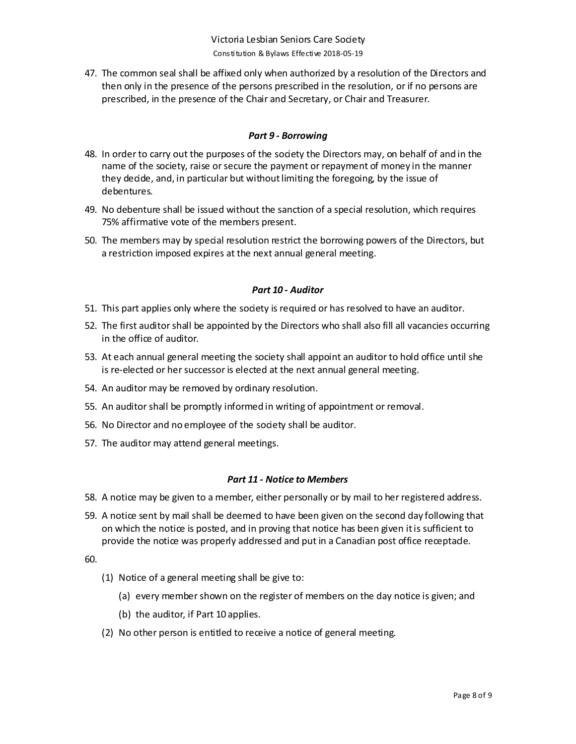47. The common seal shall be affixed only when authorized by a resolution of the Directors and then only in the presence of the persons prescribed in the resolution, or if no persons are prescribed, in the presence of the Chair and Secretary, or Chair and Treasurer.

### *Part 9 - Borrowing*

- 48. In order to carry out the purposes of the society the Directors may, on behalf of and in the name of the society, raise or secure the payment or repayment of money in the manner they decide, and, in particular but without limiting the foregoing, by the issue of debentures.
- 49. No debenture shall be issued without the sanction of a special resolution, which requires 75% affirmative vote of the members present.
- 50. The members may by special resolution restrict the borrowing powers of the Directors, but a restriction imposed expires at the next annual general meeting.

## *Part 10 - Auditor*

- 51. This part applies only where the society is required or has resolved to have an auditor.
- 52. The first auditor shall be appointed by the Directors who shall also fill all vacancies occurring in the office of auditor.
- 53. At each annual general meeting the society shall appoint an auditor to hold office until she is re-elected or her successor is elected at the next annual general meeting.
- 54. An auditor may be removed by ordinary resolution.
- 55. An auditor shall be promptly informed in writing of appointment or removal.
- 56. No Director and no employee of the society shall be auditor.
- 57. The auditor may attend general meetings.

## *Part 11 - Notice to Members*

- 58. A notice may be given to a member, either personally or by mail to her registered address.
- 59. A notice sent by mail shall be deemed to have been given on the second day following that on which the notice is posted, and in proving that notice has been given it is sufficient to provide the notice was properly addressed and put in a Canadian post office receptacle.

- (1) Notice of a general meeting shall be give to:
	- (a) every member shown on the register of members on the day notice is given; and
	- (b) the auditor, if Part 10 applies.
- (2) No other person is entitled to receive a notice of general meeting.